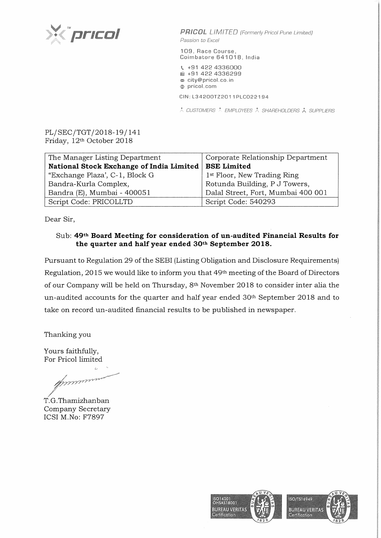

**PRICOL** LIMITED (Formerly Pricol Pune Limited) Passion to Excel

109, Race Course, Coimbatore 641018, India

\. +91 422 4336000 **liiil** +91 422 4336299 <sup>~</sup>city@pricol.co. in **e** pricol. corn

CIN: L34200TZ2011 PLC022194

 $\lambda$  CUSTOMERS  $\lambda$  EMPLOYEES  $\lambda$  SHAREHOLDERS  $\lambda$  SUPPLIERS

PL/SEC/TGT/2018-19/ 141 Friday, 12th October 2018

| The Manager Listing Department           | Corporate Relationship Department       |
|------------------------------------------|-----------------------------------------|
| National Stock Exchange of India Limited | <b>BSE Limited</b>                      |
| "Exchange Plaza", C-1, Block G           | 1 <sup>st</sup> Floor, New Trading Ring |
| Bandra-Kurla Complex,                    | Rotunda Building, P J Towers,           |
| Bandra (E), Mumbai - 400051              | Dalal Street, Fort, Mumbai 400 001      |
| Script Code: PRICOLLTD                   | Script Code: 540293                     |

Dear Sir,

## Sub: **49th Board Meeting for consideration of un-audited Financial Results for the quarter and half year ended 30th September 2018.**

Pursuant to Regulation 29 of the SEBI (Listing Obligation and Disclosure Requirements) Regulation, 2015 we would like to inform you that 49th meeting of the Board of Directors of our Company will be held on Thursday, 8th November 2018 to consider inter alia the un-audited accounts for the quarter and half year ended 30th September 2018 and to take on record un-audited financial results to be published in newspaper.

Thanking you

Yours faithfully, For Pricol limited

ours faithfully,<br>
or Pricol limited<br>
or Pricol limited<br>
S.G.Thamizhanban<br>
ompany Secretary

T.G.Thamizhanban Company ICSI M.No: F7897